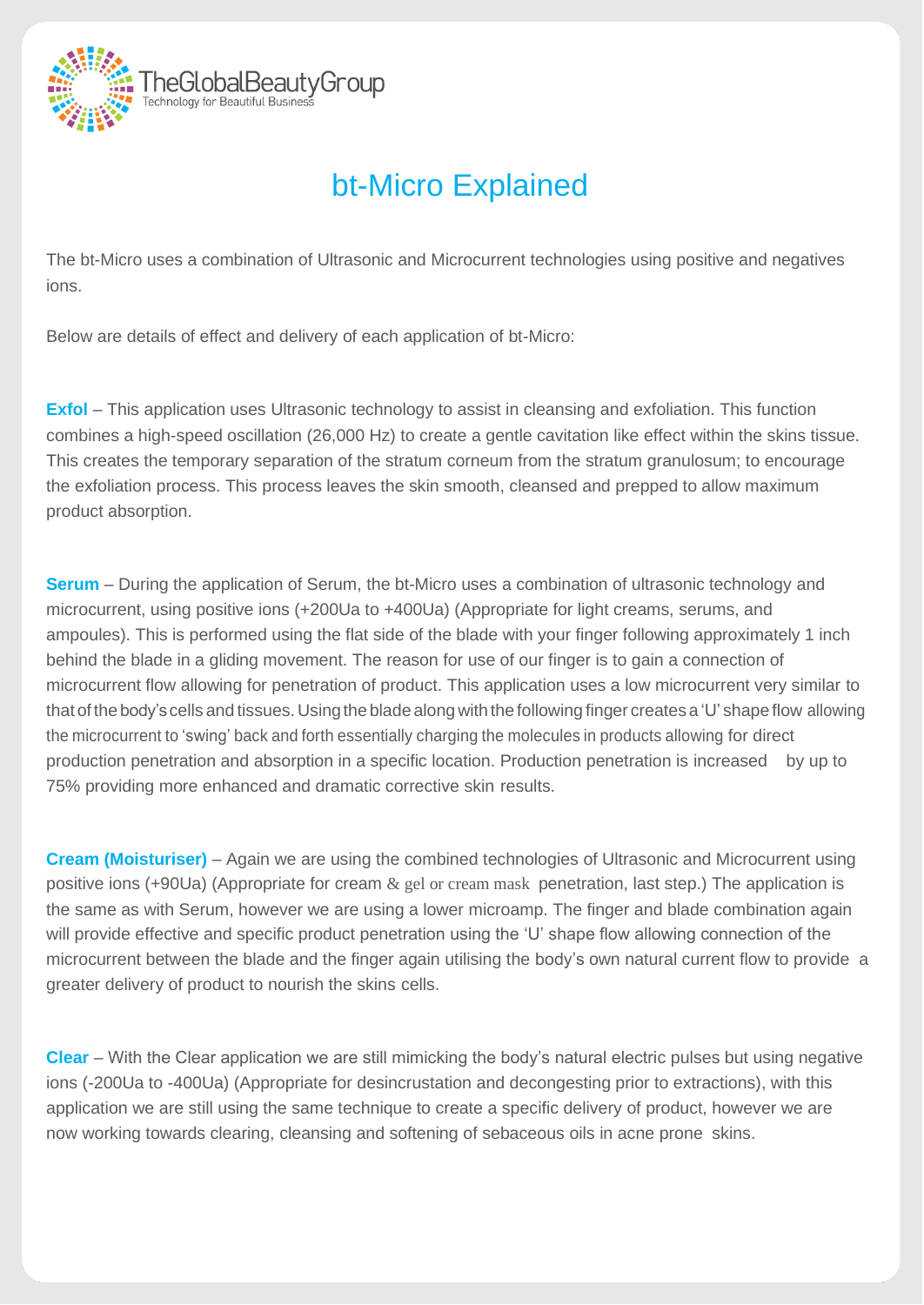

## bt-Micro Explained

The bt-Micro uses a combination of Ultrasonic and Microcurrent technologies using positive and negatives ions.

Below are details of effect and delivery of each application of bt-Micro:

**Exfol** – This application uses Ultrasonic technology to assist in cleansing and exfoliation. This function combines a high-speed oscillation (26,000 Hz) to create a gentle cavitation like effect within the skins tissue. This creates the temporary separation of the stratum corneum from the stratum granulosum; to encourage the exfoliation process. This process leaves the skin smooth, cleansed and prepped to allow maximum product absorption.

**Serum** – During the application of Serum, the bt-Micro uses a combination of ultrasonic technology and microcurrent, using positive ions (+200Ua to +400Ua) (Appropriate for light creams, serums, and ampoules). This is performed using the flat side of the blade with your finger following approximately 1 inch behind the blade in a gliding movement. The reason for use of our finger is to gain a connection of microcurrent flow allowing for penetration of product. This application uses a low microcurrent very similar to that of the body's cells and tissues. Using the blade along with the following finger creates a 'U' shape flow allowing the microcurrent to 'swing' back and forth essentially charging the molecules in products allowing for direct production penetration and absorption in a specific location. Production penetration is increased by up to 75% providing more enhanced and dramatic corrective skin results.

**Cream (Moisturiser)** – Again we are using the combined technologies of Ultrasonic and Microcurrent using positive ions (+90Ua) (Appropriate for cream & gel or cream mask penetration, last step.) The application is the same as with Serum, however we are using a lower microamp. The finger and blade combination again will provide effective and specific product penetration using the 'U' shape flow allowing connection of the microcurrent between the blade and the finger again utilising the body's own natural current flow to provide a greater delivery of product to nourish the skins cells.

**Clear** – With the Clear application we are still mimicking the body's natural electric pulses but using negative ions (-200Ua to -400Ua) (Appropriate for desincrustation and decongesting prior to extractions), with this application we are still using the same technique to create a specific delivery of product, however we are now working towards clearing, cleansing and softening of sebaceous oils in acne prone skins.